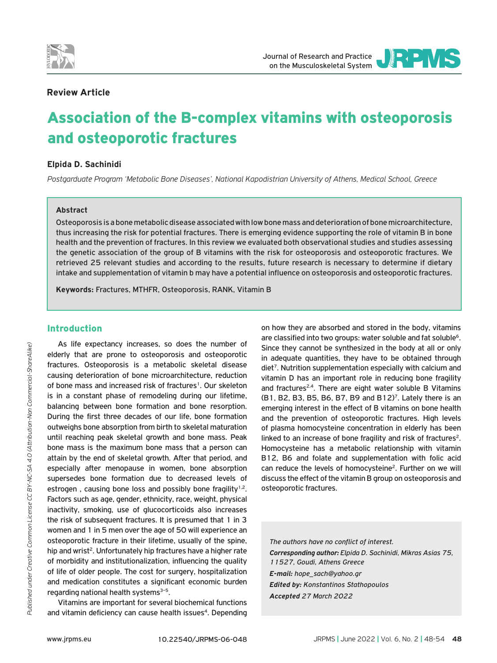



## **Review Article**

# Association of the B-complex vitamins with osteoporosis and osteoporotic fractures

## **Elpida D. Sachinidi**

*Postgarduate Program 'Metabolic Bone Diseases', National Kapodistrian University of Athens, Medical School, Greece*

#### **Abstract**

Osteoporosis is a bone metabolic disease associated with low bone mass and deterioration of bone microarchitecture, thus increasing the risk for potential fractures. There is emerging evidence supporting the role of vitamin B in bone health and the prevention of fractures. In this review we evaluated both observational studies and studies assessing the genetic association of the group of B vitamins with the risk for osteoporosis and osteoporotic fractures. We retrieved 25 relevant studies and according to the results, future research is necessary to determine if dietary intake and supplementation of vitamin b may have a potential influence on osteoporosis and osteoporotic fractures.

**Keywords:** Fractures, MTHFR, Osteoporosis, RANK, Vitamin B

# Introduction

As life expectancy increases, so does the number of elderly that are prone to osteoporosis and osteoporotic fractures. Osteoporosis is a metabolic skeletal disease causing deterioration of bone microarchitecture, reduction of bone mass and increased risk of fractures<sup>1</sup>. Our skeleton is in a constant phase of remodeling during our lifetime, balancing between bone formation and bone resorption. During the first three decades of our life, bone formation outweighs bone absorption from birth to skeletal maturation until reaching peak skeletal growth and bone mass. Peak bone mass is the maximum bone mass that a person can attain by the end of skeletal growth. After that period, and especially after menopause in women, bone absorption supersedes bone formation due to decreased levels of estrogen, causing bone loss and possibly bone fragility<sup>1,2</sup>. Factors such as age, gender, ethnicity, race, weight, physical inactivity, smoking, use of glucocorticoids also increases the risk of subsequent fractures. It is presumed that 1 in 3 women and 1 in 5 men over the age of 50 will experience an osteoporotic fracture in their lifetime, usually of the spine, hip and wrist<sup>2</sup>. Unfortunately hip fractures have a higher rate of morbidity and institutionalization, influencing the quality of life of older people. The cost for surgery, hospitalization and medication constitutes a significant economic burden regarding national health systems $3-5$ .

Vitamins are important for several biochemical functions and vitamin deficiency can cause health issues<sup>4</sup>. Depending on how they are absorbed and stored in the body, vitamins are classified into two groups: water soluble and fat soluble<sup>6</sup>. Since they cannot be synthesized in the body at all or only in adequate quantities, they have to be obtained through diet<sup>7</sup>. Nutrition supplementation especially with calcium and vitamin D has an important role in reducing bone fragility and fractures<sup>2,4</sup>. There are eight water soluble B Vitamins  $(B1, B2, B3, B5, B6, B7, B9, and B12)<sup>7</sup>$ . Lately there is an emerging interest in the effect of B vitamins on bone health and the prevention of osteoporotic fractures. High levels of plasma homocysteine concentration in elderly has been linked to an increase of bone fragility and risk of fractures<sup>2</sup>. Homocysteine has a metabolic relationship with vitamin B12, B6 and folate and supplementation with folic acid can reduce the levels of homocysteine<sup>2</sup>. Further on we will discuss the effect of the vitamin B group on osteoporosis and osteoporotic fractures.

*The authors have no conflict of interest. Corresponding author: Elpida D. Sachinidi, Mikras Asias 75, 11527, Goudi, Athens Greece E-mail: hope\_sach@yahoo.gr Edited by: Konstantinos Stathopoulos Accepted 27 March 2022*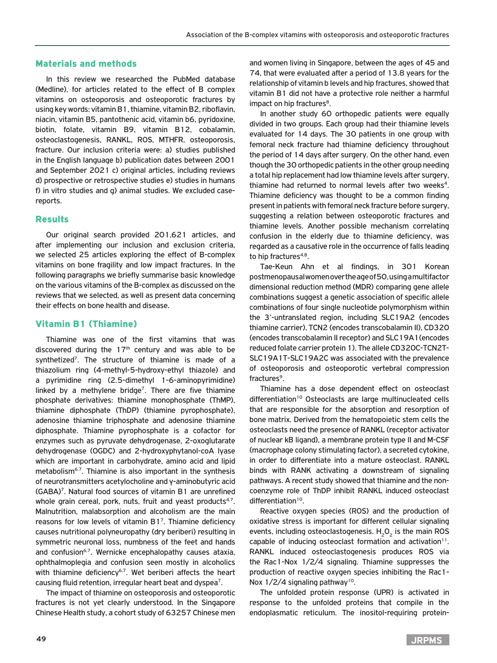## Materials and methods

In this review we researched the PubMed database (Medline), for articles related to the effect of B complex vitamins on osteoporosis and osteoporotic fractures by using key words: vitamin B1, thiamine, vitamin B2, riboflavin, niacin, vitamin B5, pantothenic acid, vitamin b6, pyridoxine, biotin, folate, vitamin B9, vitamin B12, cobalamin, osteoclastogenesis, RANKL, ROS, MTHFR, osteoporosis, fracture. Our inclusion criteria were: a) studies published in the English language b) publication dates between 2001 and September 2021 c) original articles, including reviews d) prospective or retrospective studies e) studies in humans f) in vitro studies and g) animal studies. We excluded casereports.

#### Results

Our original search provided 201,621 articles, and after implementing our inclusion and exclusion criteria, we selected 25 articles exploring the effect of B-complex vitamins on bone fragility and low impact fractures. In the following paragraphs we briefly summarise basic knowledge on the various vitamins of the B-complex as discussed on the reviews that we selected, as well as present data concerning their effects on bone health and disease.

## Vitamin B1 (Thiamine)

Thiamine was one of the first vitamins that was discovered during the  $17<sup>th</sup>$  century and was able to be synthetized<sup>7</sup>. The structure of thiamine is made of a thiazolium ring (4-methyl-5-hydroxy-ethyl thiazole) and a pyrimidine ring (2.5-dimethyl 1-6-aminopyrimidine) linked by a methylene bridge<sup>7</sup>. There are five thiamine phosphate derivatives: thiamine monophosphate (ThMP), thiamine diphosphate (ThDP) (thiamine pyrophosphate), adenosine thiamine triphosphate and adenosine thiamine diphosphate. Thiamine pyrophosphate is a cofactor for enzymes such as pyruvate dehydrogenase, 2-oxoglutarate dehydrogenase (OGDC) and 2-hydroxyphytanol-coA lyase which are important in carbohydrate, amino acid and lipid metabolism<sup>6,7</sup>. Thiamine is also important in the synthesis of neurotransmitters acetylocholine and γ-aminobutyric acid (GABA)7. Natural food sources of vitamin B1 are unrefined whole grain cereal, pork, nuts, fruit and yeast products $4.7$ . Malnutrition, malabsorption and alcoholism are the main reasons for low levels of vitamin B17. Thiamine deficiency causes nutritional polyneuropathy (dry beriberi) resulting in symmetric neuronal loss, numbness of the feet and hands and confusion<sup>6,7</sup>. Wernicke encephalopathy causes ataxia, ophthalmoplegia and confusion seen mostly in alcoholics with thiamine deficiency<sup>6,7</sup>. Wet beriberi affects the heart causing fluid retention, irregular heart beat and dyspea7.

The impact of thiamine on osteoporosis and osteoporotic fractures is not yet clearly understood. In the Singapore Chinese Health study, a cohort study of 63257 Chinese men

and women living in Singapore, between the ages of 45 and 74, that were evaluated after a period of 13.8 years for the relationship of vitamin b levels and hip fractures, showed that vitamin B1 did not have a protective role neither a harmful impact on hip fractures<sup>8</sup>.

In another study 60 orthopedic patients were equally divided in two groups. Each group had their thiamine levels evaluated for 14 days. The 30 patients in one group with femoral neck fracture had thiamine deficiency throughout the period of 14 days after surgery. On the other hand, even though the 30 orthopedic patients in the other group needing a total hip replacement had low thiamine levels after surgery, thiamine had returned to normal levels after two weeks<sup>4</sup>. Thiamine deficiency was thought to be a common finding present in patients with femoral neck fracture before surgery, suggesting a relation between osteoporotic fractures and thiamine levels. Another possible mechanism correlating confusion in the elderly due to thiamine deficiency, was regarded as a causative role in the occurrence of falls leading to hip fractures<sup>4,8</sup>.

Tae-Keun Ahn et al findings, in 301 Korean postmenopausal women over the age of 50, using a multifactor dimensional reduction method (MDR) comparing gene allele combinations suggest a genetic association of specific allele combinations of four single nucleotide polymorphism within the 3'-untranslated region, including SLC19A2 (encodes thiamine carrier), TCN2 (encodes transcobalamin II), CD320 (encodes transcobalamin II receptor) and SLC19A1(encodes reduced folate carrier protein 1). The allele CD320C-TCN2T-SLC19A1T-SLC19A2C was associated with the prevalence of osteoporosis and osteoporotic vertebral compression fractures<sup>9</sup>

Thiamine has a dose dependent effect on osteoclast differentiation<sup>10</sup> Osteoclasts are large multinucleated cells that are responsible for the absorption and resorption of bone matrix. Derived from the hematopoietic stem cells the osteoclasts need the presence of RANKL (receptor activator of nuclear kB ligand), a membrane protein type II and M-CSF (macrophage colony stimulating factor), a secreted cytokine, in order to differentiate into a mature osteoclast. RANKL binds with RANK activating a downstream of signaling pathways. A recent study showed that thiamine and the noncoenzyme role of ThDP inhibit RANKL induced osteoclast differentiation<sup>10</sup>.

Reactive oxygen species (ROS) and the production of oxidative stress is important for different cellular signaling events, including osteoclastogenesis.  $H_2O_2$  is the main ROS capable of inducing osteoclast formation and activation $11$ . RANKL induced osteoclastogenesis produces ROS via the Rac1-Nox 1/2/4 signaling. Thiamine suppresses the production of reactive oxygen species inhibiting the Rac1- Nox  $1/2/4$  signaling pathway<sup>10</sup>.

The unfolded protein response (UPR) is activated in response to the unfolded proteins that compile in the endoplasmatic reticulum. The inositol-requiring protein-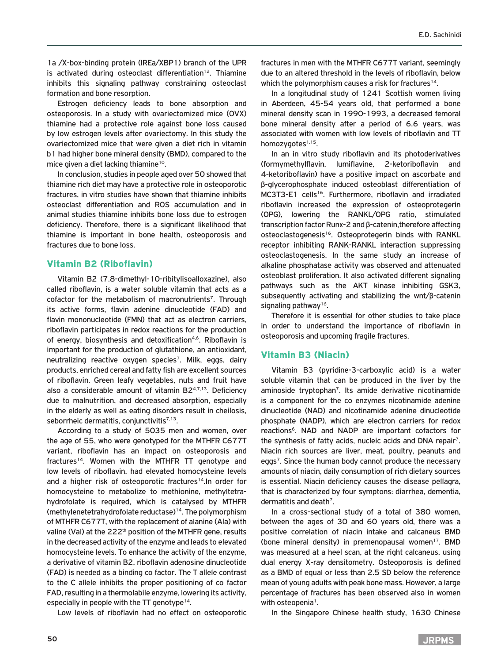1a /X-box-binding protein (IREa/XBP1) branch of the UPR is activated during osteoclast differentiation<sup>12</sup>. Thiamine inhibits this signaling pathway constraining osteoclast formation and bone resorption.

Estrogen deficiency leads to bone absorption and osteoporosis. In a study with ovariectomized mice (OVX) thiamine had a protective role against bone loss caused by low estrogen levels after ovariectomy. In this study the ovariectomized mice that were given a diet rich in vitamin b1 had higher bone mineral density (BMD), compared to the mice given a diet lacking thiamine<sup>10</sup>.

In conclusion, studies in people aged over 50 showed that thiamine rich diet may have a protective role in osteoporotic fractures, in vitro studies have shown that thiamine inhibits osteoclast differentiation and ROS accumulation and in animal studies thiamine inhibits bone loss due to estrogen deficiency. Therefore, there is a significant likelihood that thiamine is important in bone health, osteoporosis and fractures due to bone loss.

## Vitamin B2 (Riboflavin)

Vitamin B2 (7.8-dimethyl-10-ribitylisoalloxazine), also called riboflavin, is a water soluble vitamin that acts as a cofactor for the metabolism of macronutrients<sup>7</sup>. Through its active forms, flavin adenine dinucleotide (FAD) and flavin mononucleotide (FMN) that act as electron carriers, riboflavin participates in redox reactions for the production of energy, biosynthesis and detoxification<sup>4,6</sup>. Riboflavin is important for the production of glutathione, an antioxidant, neutralizing reactive oxygen species<sup>7</sup>. Milk, eggs, dairy products, enriched cereal and fatty fish are excellent sources of riboflavin. Green leafy vegetables, nuts and fruit have also a considerable amount of vitamin  $B2^{4,7,13}$ . Deficiency due to malnutrition, and decreased absorption, especially in the elderly as well as eating disorders result in cheilosis, seborrheic dermatitis, conjunctivitis $7,13$ .

According to a study of 5035 men and women, over the age of 55, who were genotyped for the MTHFR C677T variant, riboflavin has an impact on osteoporosis and fractures<sup>14</sup>. Women with the MTHFR TT genotype and low levels of riboflavin, had elevated homocysteine levels and a higher risk of osteoporotic fractures<sup>14</sup>. In order for homocysteine to metabolize to methionine, methyltetrahydrofolate is required, which is catalysed by MTHFR (methylenetetrahydrofolate reductase)14. The polymorphism of MTHFR C677T, with the replacement of alanine (Ala) with valine (Val) at the 222<sup>th</sup> position of the MTHFR gene, results in the decreased activity of the enzyme and leads to elevated homocysteine levels. To enhance the activity of the enzyme, a derivative of vitamin B2, riboflavin adenosine dinucleotide (FAD) is needed as a binding co factor. The T allele contrast to the C allele inhibits the proper positioning of co factor FAD, resulting in a thermolabile enzyme, lowering its activity, especially in people with the TT genotype<sup>14</sup>.

Low levels of riboflavin had no effect on osteoporotic

fractures in men with the MTHFR C677T variant, seemingly due to an altered threshold in the levels of riboflavin, below which the polymorphism causes a risk for fractures<sup>14</sup>.

In a longitudinal study of 1241 Scottish women living in Aberdeen, 45-54 years old, that performed a bone mineral density scan in 1990-1993, a decreased femoral bone mineral density after a period of 6.6 years, was associated with women with low levels of riboflavin and TT homozygotes $1,15$ .

In an in vitro study riboflavin and its photoderivatives (formymethylflavin, lumiflavine, 2-ketoriboflavin and 4-ketoriboflavin) have a positive impact on ascorbate and β-glycerophosphate induced osteoblast differentiation of MC3T3-E1 cells<sup>16</sup>. Furthermore, riboflavin and irradiated riboflavin increased the expression of osteoprotegerin (OPG), lowering the RANKL/OPG ratio, stimulated transcription factor Runx-2 and β-catenin,therefore affecting osteoclastogenesis<sup>16</sup>. Osteoprotegerin binds with RANKL receptor inhibiting RANK-RANKL interaction suppressing osteoclastogenesis. In the same study an increase of alkaline phosphatase activity was observed and attenuated osteoblast proliferation. It also activated different signaling pathways such as the AKT kinase inhibiting GSK3, subsequently activating and stabilizing the wnt/β-catenin signaling pathway<sup>16</sup>.

Therefore it is essential for other studies to take place in order to understand the importance of riboflavin in osteoporosis and upcoming fragile fractures.

## Vitamin B3 (Niacin)

Vitamin B3 (pyridine-3-carboxylic acid) is a water soluble vitamin that can be produced in the liver by the aminoside tryptophan<sup>7</sup>. Its amide derivative nicotinamide is a component for the co enzymes nicotinamide adenine dinucleotide (NAD) and nicotinamide adenine dinucleotide phosphate (NADP), which are electron carriers for redox reactions6. NAD and NADP are important cofactors for the synthesis of fatty acids, nucleic acids and DNA repair<sup>7</sup>. Niacin rich sources are liver, meat, poultry, peanuts and eggs<sup>7</sup>. Since the human body cannot produce the necessary amounts of niacin, daily consumption of rich dietary sources is essential. Niacin deficiency causes the disease pellagra, that is characterized by four symptons: diarrhea, dementia, dermatitis and death<sup>7</sup>.

In a cross-sectional study of a total of 380 women, between the ages of 30 and 60 years old, there was a positive correlation of niacin intake and calcaneus BMD (bone mineral density) in premenopausal women<sup>17</sup>. BMD was measured at a heel scan, at the right calcaneus, using dual energy X-ray densitometry. Osteoporosis is defined as a BMD of equal or less than 2.5 SD below the reference mean of young adults with peak bone mass. However, a large percentage of fractures has been observed also in women with osteopenia<sup>1</sup>.

In the Singapore Chinese health study, 1630 Chinese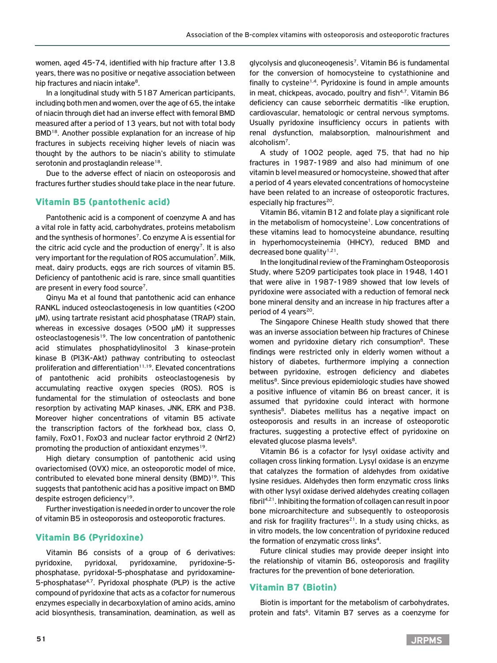women, aged 45-74, identified with hip fracture after 13.8 years, there was no positive or negative association between hip fractures and niacin intake<sup>8</sup>.

In a longitudinal study with 5187 American participants, including both men and women, over the age of 65, the intake of niacin through diet had an inverse effect with femoral BMD measured after a period of 13 years, but not with total body BMD<sup>18</sup>. Another possible explanation for an increase of hip fractures in subjects receiving higher levels of niacin was thought by the authors to be niacin's ability to stimulate serotonin and prostaglandin release<sup>18</sup>.

Due to the adverse effect of niacin on osteoporosis and fractures further studies should take place in the near future.

## Vitamin B5 (pantothenic acid)

Pantothenic acid is a component of coenzyme A and has a vital role in fatty acid, carbohydrates, proteins metabolism and the synthesis of hormones<sup>7</sup>. Co enzyme A is essential for the citric acid cycle and the production of energy<sup>7</sup>. It is also very important for the regulation of ROS accumulation<sup>7</sup>. Milk, meat, dairy products, eggs are rich sources of vitamin B5. Deficiency of pantothenic acid is rare, since small quantities are present in every food source7.

Qinyu Ma et al found that pantothenic acid can enhance RANKL induced osteoclastogenesis in low quantities (<200 μM), using tartrate resistant acid phosphatase (TRAP) stain, whereas in excessive dosages (>500 μM) it suppresses osteoclastogenesis<sup>19</sup>. The low concentration of pantothenic acid stimulates phosphatidylinositol 3 kinase-protein kinase B (PI3K-Akt) pathway contributing to osteoclast proliferation and differentiation $11,19$ . Elevated concentrations of pantothenic acid prohibits osteoclastogenesis by accumulating reactive oxygen species (ROS). ROS is fundamental for the stimulation of osteoclasts and bone resorption by activating MAP kinases, JNK, ERK and P38. Moreover higher concentrations of vitamin B5 activate the transcription factors of the forkhead box, class O, family, FoxO1, FoxO3 and nuclear factor erythroid 2 (Nrf2) promoting the production of antioxidant enzymes<sup>19</sup>.

High dietary consumption of pantothenic acid using ovariectomised (OVX) mice, an osteoporotic model of mice, contributed to elevated bone mineral density (BMD)<sup>19</sup>. This suggests that pantothenic acid has a positive impact on BMD despite estrogen deficiency<sup>19</sup>.

Further investigation is needed in order to uncover the role of vitamin B5 in osteoporosis and osteoporotic fractures.

## Vitamin B6 (Pyridoxine)

Vitamin B6 consists of a group of 6 derivatives: pyridoxine, pyridoxal, pyridoxamine, pyridoxine-5 phosphatase, pyridoxal-5-phosphatase and pyridoxamine-5-phosphatase4,7. Pyridoxal phosphate (PLP) is the active compound of pyridoxine that acts as a cofactor for numerous enzymes especially in decarboxylation of amino acids, amino acid biosynthesis, transamination, deamination, as well as

glycolysis and gluconeogenesis7. Vitamin B6 is fundamental for the conversion of homocysteine to cystathionine and finally to cysteine<sup> $1,4$ </sup>. Pyridoxine is found in ample amounts in meat, chickpeas, avocado, poultry and fish<sup>4,7</sup>. Vitamin B6 deficiency can cause seborrheic dermatitis -like eruption, cardiovascular, hematologic or central nervous symptoms. Usually pyridoxine insufficiency occurs in patients with renal dysfunction, malabsorption, malnourishment and alcoholism7.

A study of 1002 people, aged 75, that had no hip fractures in 1987-1989 and also had minimum of one vitamin b level measured or homocysteine, showed that after a period of 4 years elevated concentrations of homocysteine have been related to an increase of osteoporotic fractures, especially hip fractures<sup>20</sup>.

Vitamin B6, vitamin B12 and folate play a significant role in the metabolism of homocysteine<sup>1</sup>. Low concentrations of these vitamins lead to homocysteine abundance, resulting in hyperhomocysteinemia (HHCY), reduced BMD and decreased bone quality $1,21$ .

In the longitudinal review of the Framingham Osteoporosis Study, where 5209 participates took place in 1948, 1401 that were alive in 1987-1989 showed that low levels of pyridoxine were associated with a reduction of femoral neck bone mineral density and an increase in hip fractures after a period of 4 years<sup>20</sup>.

The Singapore Chinese Health study showed that there was an inverse association between hip fractures of Chinese women and pyridoxine dietary rich consumption<sup>8</sup>. These findings were restricted only in elderly women without a history of diabetes, furthermore implying a connection between pyridoxine, estrogen deficiency and diabetes melitus<sup>8</sup>. Since previous epidemiologic studies have showed a positive influence of vitamin B6 on breast cancer, it is assumed that pyridoxine could interact with hormone synthesis<sup>8</sup>. Diabetes mellitus has a negative impact on osteoporosis and results in an increase of osteoporotic fractures, suggesting a protective effect of pyridoxine on elevated glucose plasma levels<sup>8</sup>.

Vitamin B6 is a cofactor for lysyl oxidase activity and collagen cross linking formation. Lysyl oxidase is an enzyme that catalyzes the formation of aldehydes from oxidative lysine residues. Aldehydes then form enzymatic cross links with other lysyl oxidase derived aldehydes creating collagen fibril4,21. Inhibiting the formation of collagen can result in poor bone microarchitecture and subsequently to osteoporosis and risk for fragility fractures $21$ . In a study using chicks, as in vitro models, the low concentration of pyridoxine reduced the formation of enzymatic cross links<sup>4</sup>.

Future clinical studies may provide deeper insight into the relationship of vitamin B6, osteoporosis and fragility fractures for the prevention of bone deterioration.

## Vitamin B7 (Biotin)

Biotin is important for the metabolism of carbohydrates, protein and fats<sup>6</sup>. Vitamin B7 serves as a coenzyme for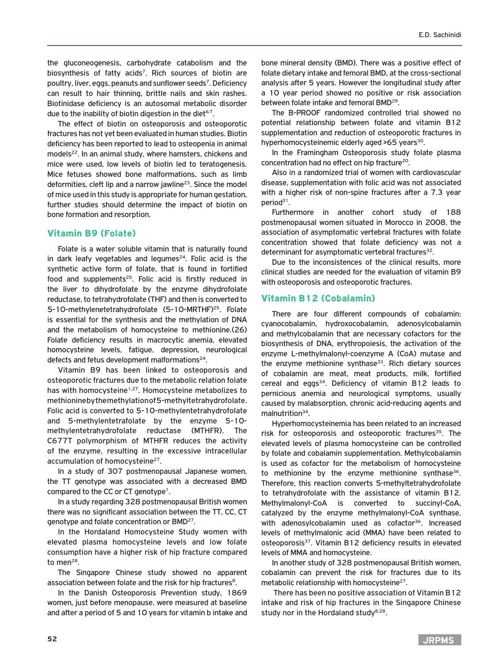the gluconeogenesis, carbohydrate catabolism and the biosynthesis of fatty acids<sup>7</sup>. Rich sources of biotin are poultry, liver, eggs, peanuts and sunflower seeds7. Deficiency can result to hair thinning, brittle nails and skin rashes. Biotinidase deficiency is an autosomal metabolic disorder due to the inability of biotin digestion in the diet<sup>6,7</sup>.

The effect of biotin on osteoporosis and osteoporotic fractures has not yet been evaluated in human studies. Biotin deficiency has been reported to lead to osteopenia in animal models<sup>22</sup>. In an animal study, where hamsters, chickens and mice were used, low levels of biotin led to teratogenesis. Mice fetuses showed bone malformations, such as limb deformities, cleft lip and a narrow jawline<sup>23</sup>. Since the model of mice used in this study is appropriate for human gestation, further studies should determine the impact of biotin on bone formation and resorption.

#### Vitamin B9 (Folate)

Folate is a water soluble vitamin that is naturally found in dark leafy vegetables and legumes $24$ . Folic acid is the synthetic active form of folate, that is found in fortified food and supplements<sup>25</sup>. Folic acid is firstly reduced in the liver to dihydrofolate by the enzyme dihydrofolate reductase, to tetrahydrofolate (THF) and then is converted to 5-10-methylenetetrahydrofolate (5-10-MRTHF)25. Folate is essential for the synthesis and the methylation of DNA and the metabolism of homocysteine to methionine.(26) Folate deficiency results in macrocytic anemia, elevated homocysteine levels, fatigue, depression, neurological defects and fetus development malformations<sup>24</sup>.

Vitamin B9 has been linked to osteoporosis and osteoporotic fractures due to the metabolic relation folate has with homocysteine<sup>1,27</sup>. Homocysteine metabolizes to methionine by the methylation of 5-methyltetrahydrofolate. Folic acid is converted to 5-10-methylentetrahydrofolate and 5-methylentetrafolate by the enzyme 5-10 methylentetrahydrofolate reductase (MTHFR). The C677T polymorphism of MTHFR reduces the activity of the enzyme, resulting in the excessive intracellular accumulation of homocysteine<sup>27</sup>.

In a study of 307 postmenopausal Japanese women, the TT genotype was associated with a decreased BMD compared to the CC or CT genotype<sup>1</sup>.

In a study regarding 328 postmenopausal British women there was no significant association between the TT, CC, CT genotype and folate concentration or BMD27.

In the Hordaland Homocysteine Study women with elevated plasma homocysteine levels and low folate consumption have a higher risk of hip fracture compared to men<sup>28</sup>.

The Singapore Chinese study showed no apparent association between folate and the risk for hip fractures<sup>8</sup>.

In the Danish Osteoporosis Prevention study, 1869 women, just before menopause, were measured at baseline and after a period of 5 and 10 years for vitamin b intake and

bone mineral density (BMD). There was a positive effect of folate dietary intake and femoral BMD, at the cross-sectional analysis after 5 years. However the longitudinal study after a 10 year period showed no positive or risk association between folate intake and femoral BMD<sup>29</sup>.

The B-PROOF randomized controlled trial showed no potential relationship between folate and vitamin B12 supplementation and reduction of osteoporotic fractures in hyperhomocysteinemic elderly aged >65 years<sup>30</sup>.

In the Framingham Osteoporosis study folate plasma concentration had no effect on hip fracture<sup>20</sup>.

Also in a randomized trial of women with cardiovascular disease, supplementation with folic acid was not associated with a higher risk of non-spine fractures after a 7.3 year period<sup>31</sup>.

Furthermore in another cohort study of 188 postmenopausal women situated in Morocco in 2008, the association of asymptomatic vertebral fractures with folate concentration showed that folate deficiency was not a determinant for asymptomatic vertebral fractures<sup>32</sup>.

Due to the inconsistences of the clinical results, more clinical studies are needed for the evaluation of vitamin B9 with osteoporosis and osteoporotic fractures.

#### Vitamin B12 (Cobalamin)

There are four different compounds of cobalamin: cyanocobalamin, hydroxocobalamin, adenosylcobalamin and methylcobalamin that are necessary cofactors for the biosynthesis of DNA, erythropoiesis, the activation of the enzyme L-methylmalonyl-coenzyme A (CoA) mutase and the enzyme methionine synthase $33$ . Rich dietary sources of cobalamin are meat, meat products, milk, fortified cereal and eggs<sup>34</sup>. Deficiency of vitamin B12 leads to pernicious anemia and neurological symptoms, usually caused by malabsorption, chronic acid-reducing agents and malnutrition<sup>34</sup>.

Hyperhomocysteinemia has been related to an increased risk for osteoporosis and osteoporotic fractures $35$ . The elevated levels of plasma homocysteine can be controlled by folate and cobalamin supplementation. Methylcobalamin is used as cofactor for the metabolism of homocysteine to methionine by the enzyme methionine synthase<sup>36</sup>. Therefore, this reaction converts 5-methyltetrahydrofolate to tetrahydrofolate with the assistance of vitamin B12. Methylmalonyl-CoA is converted to succinyl-CoA, catalyzed by the enzyme methylmalonyl-CoA synthase, with adenosylcobalamin used as cofactor<sup>36</sup>. Increased levels of methylmalonic acid (MMA) have been related to osteoporosis<sup>37</sup>. Vitamin B12 deficiency results in elevated levels of MMA and homocysteine.

In another study of 328 postmenopausal British women, cobalamin can prevent the risk for fractures due to its metabolic relationship with homocysteine<sup>27</sup>.

 There has been no positive association of Vitamin B12 intake and risk of hip fractures in the Singapore Chinese study nor in the Hordaland study $8,28$ .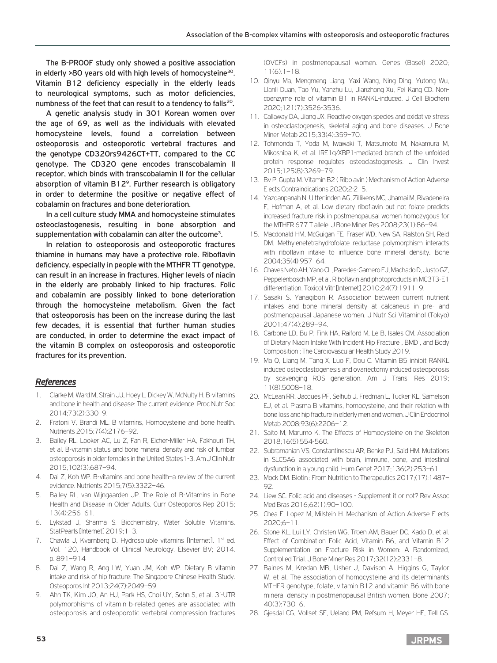The B-PROOF study only showed a positive association in elderly >80 years old with high levels of homocysteine<sup>30</sup>. Vitamin B12 deficiency especially in the elderly leads to neurological symptoms, such as motor deficiencies, numbness of the feet that can result to a tendency to falls<sup>20</sup>.

A genetic analysis study in 301 Korean women over the age of 69, as well as the individuals with elevated homocysteine levels, found a correlation between osteoporosis and osteoporotic vertebral fractures and the genotype CD320rs9426CT+TT, compared to the CC genotype. The CD320 gene encodes transcobalamin II receptor, which binds with transcobalamin II for the cellular absorption of vitamin B12<sup>9</sup>. Further research is obligatory in order to determine the positive or negative effect of cobalamin on fractures and bone deterioration.

In a cell culture study MMA and homocysteine stimulates osteoclastogenesis, resulting in bone absorption and supplementation with cobalamin can alter the outcome<sup>3</sup>.

In relation to osteoporosis and osteoporotic fractures thiamine in humans may have a protective role. Riboflavin deficiency, especially in people with the MTHFR TT genotype, can result in an increase in fractures. Higher levels of niacin in the elderly are probably linked to hip fractures. Folic and cobalamin are possibly linked to bone deterioration through the homocysteine metabolism. Given the fact that osteoporosis has been on the increase during the last few decades, it is essential that further human studies are conducted, in order to determine the exact impact of the vitamin B complex on osteoporosis and osteoporotic fractures for its prevention.

## *References*

- 1. Clarke M, Ward M, Strain JJ, Hoey L, Dickey W, McNulty H. B-vitamins and bone in health and disease: The current evidence. Proc Nutr Soc 2014;73(2):330–9.
- 2. Fratoni V, Brandi ML. B vitamins, Homocysteine and bone health. Nutrients 2015;7(4):2176–92.
- 3. Bailey RL, Looker AC, Lu Z, Fan R, Eicher-Miller HA, Fakhouri TH, et al. B-vitamin status and bone mineral density and risk of lumbar osteoporosis in older females in the United States1-3. Am J Clin Nutr 2015;102(3):687–94.
- 4. Dai Z, Koh WP. B-vitamins and bone health–a review of the current evidence. Nutrients 2015;7(5):3322–46.
- 5. Bailey RL, van Wijngaarden JP. The Role of B-Vitamins in Bone Health and Disease in Older Adults. Curr Osteoporos Rep 2015; 13(4):256–61.
- 6. Lykstad J, Sharma S. Biochemistry, Water Soluble Vitamins. StatPearls [Internet] 2019;1–3.
- 7. Chawla J, Kvarnberg D. Hydrosoluble vitamins [Internet]. 1st ed. Vol. 120, Handbook of Clinical Neurology. Elsevier BV; 2014. p. 891–914
- 8. Dai Z, Wang R, Ang LW, Yuan JM, Koh WP. Dietary B vitamin intake and risk of hip fracture: The Singapore Chinese Health Study. Osteoporos Int 2013;24(7):2049–59.
- 9. Ahn TK, Kim JO, An HJ, Park HS, Choi UY, Sohn S, et al. 3'-UTR polymorphisms of vitamin b-related genes are associated with osteoporosis and osteoporotic vertebral compression fractures

(OVCFs) in postmenopausal women. Genes (Basel) 2020;  $11(6) \cdot 1 - 18$ 

- 10. Qinyu Ma, Mengmeng Liang, Yaxi Wang, Ning Ding, Yutong Wu, LIanli Duan, Tao Yu, Yanzhu Lu, Jianzhong Xu, Fei Kang CD. Noncoenzyme role of vitamin B1 in RANKL-induced. J Cell Biochem 2020;121(7):3526-3536.
- 11. Callaway DA, Jiang JX. Reactive oxygen species and oxidative stress in osteoclastogenesis, skeletal aging and bone diseases. J Bone Miner Metab 2015;33(4):359–70.
- 12. Tohmonda T, Yoda M, Iwawaki T, Matsumoto M, Nakamura M, Mikoshiba K, et al. IRE1α/XBP1-mediated branch of the unfolded protein response regulates osteoclastogenesis. J Clin Invest 2015;125(8):3269–79.
- 13. Bv P, Gupta M. Vitamin B2 ( Ribo avin ) Mechanism of Action Adverse E ects Contraindications 2020;2:2–5.
- 14. Yazdanpanah N, Uitterlinden AG, Zillikens MC, Jhamai M, Rivadeneira F, Hofman A, et al. Low dietary riboflavin but not folate predicts increased fracture risk in postmenopausal women homozygous for the MTHFR 677 T allele. J Bone Miner Res 2008;23(1):86–94.
- 15. Macdonald HM, McGuigan FE, Fraser WD, New SA, Ralston SH, Reid DM. Methylenetetrahydrofolate reductase polymorphism interacts with riboflavin intake to influence bone mineral density. Bone 2004;35(4):957–64.
- 16. Chaves Neto AH, Yano CL, Paredes-Gamero EJ, Machado D, Justo GZ, Peppelenbosch MP, et al. Riboflavin and photoproducts in MC3T3-E1 differentiation. Toxicol Vitr [Internet] 2010;24(7):1911–9.
- 17. Sasaki S, Yanagibori R. Association between current nutrient intakes and bone mineral density at calcaneus in pre- and postmenopausal Japanese women. J Nutr Sci Vitaminol (Tokyo) 2001;47(4):289–94.
- 18. Carbone LD, Bu P, Fink HA, Raiford M, Le B, Isales CM. Association of Dietary Niacin Intake With Incident Hip Fracture , BMD , and Body Composition : The Cardiovascular Health Study 2019.
- 19. Ma Q, Liang M, Tang X, Luo F, Dou C. Vitamin B5 inhibit RANKL induced osteoclastogenesis and ovariectomy induced osteoporosis by scavenging ROS generation. Am J Transl Res 2019; 11(8):5008–18.
- 20. McLean RR, Jacques PF, Selhub J, Fredman L, Tucker KL, Samelson EJ, et al. Plasma B vitamins, homocysteine, and their relation with bone loss and hip fracture in elderly men and women. J Clin Endocrinol Metab 2008;93(6):2206–12.
- 21. Saito M, Marumo K. The Effects of Homocysteine on the Skeleton 2018;16(5):554-560.
- 22. Subramanian VS, Constantinescu AR, Benke PJ, Said HM. Mutations in SLC5A6 associated with brain, immune, bone, and intestinal dysfunction in a young child. Hum Genet 2017;136(2):253–61.
- 23. Mock DM. Biotin : From Nutrition to Therapeutics 2017;(17):1487– 92.
- 24. Liew SC. Folic acid and diseases Supplement it or not? Rev Assoc Med Bras 2016;62(1):90–100.
- 25. Chea E, Lopez M, Milstein H. Mechanism of Action Adverse E ects 2020;6–11.
- 26. Stone KL, Lui LY, Christen WG, Troen AM, Bauer DC, Kado D, et al. Effect of Combination Folic Acid, Vitamin B6, and Vitamin B12 Supplementation on Fracture Risk in Women: A Randomized, Controlled Trial. J Bone Miner Res 2017;32(12):2331–8.
- 27. Baines M, Kredan MB, Usher J, Davison A, Higgins G, Taylor W, et al. The association of homocysteine and its determinants MTHFR genotype, folate, vitamin B12 and vitamin B6 with bone mineral density in postmenopausal British women. Bone 2007; 40(3):730–6.
- 28. Gjesdal CG, Vollset SE, Ueland PM, Refsum H, Meyer HE, Tell GS.